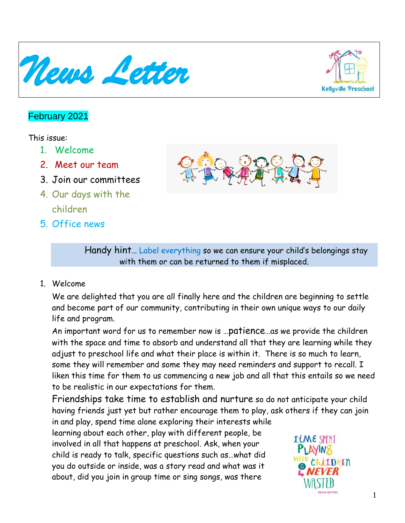



# February 2021

### This issue:

- 1. Welcome
- 2. Meet our team
- 3. Join our committees
- 4. Our days with the children
- 5. Office news



Handy hint… Label everything so we can ensure your child's belongings stay with them or can be returned to them if misplaced.

1. Welcome

We are delighted that you are all finally here and the children are beginning to settle and become part of our community, contributing in their own unique ways to our daily life and program.

An important word for us to remember now is …patience…as we provide the children with the space and time to absorb and understand all that they are learning while they adjust to preschool life and what their place is within it. There is so much to learn, some they will remember and some they may need reminders and support to recall. I liken this time for them to us commencing a new job and all that this entails so we need to be realistic in our expectations for them.

Friendships take time to establish and nurture so do not anticipate your child having friends just yet but rather encourage them to play, ask others if they can join in and play, spend time alone exploring their interests while

learning about each other, play with different people, be involved in all that happens at preschool. Ask, when your child is ready to talk, specific questions such as…what did you do outside or inside, was a story read and what was it about, did you join in group time or sing songs, was there

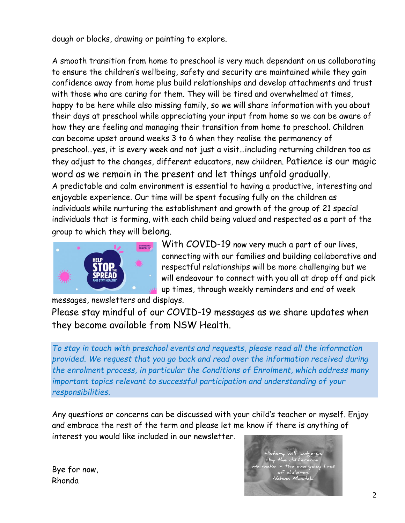dough or blocks, drawing or painting to explore.

A smooth transition from home to preschool is very much dependant on us collaborating to ensure the children's wellbeing, safety and security are maintained while they gain confidence away from home plus build relationships and develop attachments and trust with those who are caring for them. They will be tired and overwhelmed at times, happy to be here while also missing family, so we will share information with you about their days at preschool while appreciating your input from home so we can be aware of how they are feeling and managing their transition from home to preschool. Children can become upset around weeks 3 to 6 when they realise the permanency of preschool…yes, it is every week and not just a visit…including returning children too as they adjust to the changes, different educators, new children. Patience is our magic word as we remain in the present and let things unfold gradually. A predictable and calm environment is essential to having a productive, interesting and enjoyable experience. Our time will be spent focusing fully on the children as individuals while nurturing the establishment and growth of the group of 21 special individuals that is forming, with each child being valued and respected as a part of the group to which they will belong.



With COVID-19 now very much a part of our lives, connecting with our families and building collaborative and respectful relationships will be more challenging but we will endeavour to connect with you all at drop off and pick up times, through weekly reminders and end of week

messages, newsletters and displays.

Please stay mindful of our COVID-19 messages as we share updates when they become available from NSW Health.

*To stay in touch with preschool events and requests, please read all the information provided. We request that you go back and read over the information received during the enrolment process, in particular the Conditions of Enrolment, which address many important topics relevant to successful participation and understanding of your responsibilities.*

Any questions or concerns can be discussed with your child's teacher or myself. Enjoy and embrace the rest of the term and please let me know if there is anything of interest you would like included in our newsletter.

Bye for now, Rhonda

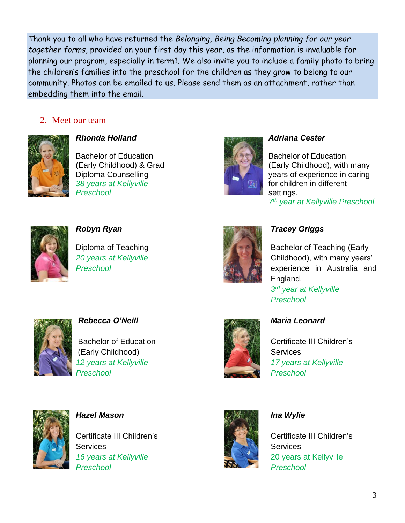Thank you to all who have returned the *Belonging, Being Becoming planning for our year together forms,* provided on your first day this year, as the information is invaluable for planning our program, especially in term1. We also invite you to include a family photo to bring the children's families into the preschool for the children as they grow to belong to our community. Photos can be emailed to us. Please send them as an attachment, rather than embedding them into the email.

### 2. Meet our team



*Rhonda Holland Adriana Cester*

Bachelor of Education **Bachelor of Education** Bachelor of Education **38 years at Kellyville for children in different Preschool** settings.



(Early Childhood) & Grad (Early Childhood), with many Diploma Counselling The Counselling Counselling Wilson Counselling Vears of experience in caring *7 th year at Kellyville Preschool*





### *Robyn Ryan Tracey Griggs*

Diploma of Teaching **Back of Teaching Carly Bachelor of Teaching (Early** *20 years at Kellyville* Childhood), with many years' **Preschool Experience in Australia and Preschool**  $End$ *England.* 

> *3 rd year at Kellyville Preschool*



*Rebecca O'Neill Maria Leonard*

(Early Childhood) **Services** Services *Preschool Preschool*



Bachelor of Education **Certificate III Children's** *12 years at Kellyville 17 years at Kellyville*



*Hazel Mason Ina Wylie*

Certificate III Children's Certificate III Children's Services Services Services *16 years at Kellyville* 20 years at Kellyville *Preschool Preschool*

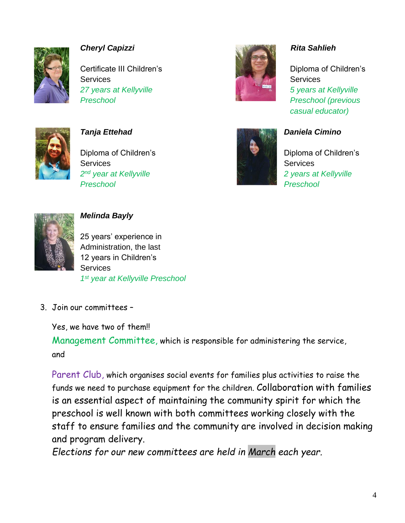

# *Cheryl Capizzi Cheryl Capizzi Cheryl Capizzi**Rita Sahlieh*

**Certificate III Children's Certificate III Children's** Services Services Services Services Services Services Services Services Services Services Services Services Services *27 years at Kellyville 5 years at Kellyville Preschool Preschool (previous*



**Diploma of Children's Children's Children's** Diploma of Children's Services Services **Services** Services **Services** Services 2<sup>nd</sup> year at Kellyville  *Preschool Preschool*



*casual educator)* 



### *Tanja Ettehad* Daniela Cimino

2 years at Kellyville



# *Melinda Bayly*

25 years' experience in Administration, the last 12 years in Children's **Services** *1 st year at Kellyville Preschool*

3. Join our committees –

Yes, we have two of them!!

Management Committee, which is responsible for administering the service, and

Parent Club, which organises social events for families plus activities to raise the funds we need to purchase equipment for the children. Collaboration with families is an essential aspect of maintaining the community spirit for which the preschool is well known with both committees working closely with the staff to ensure families and the community are involved in decision making and program delivery.

*Elections for our new committees are held in March each year.*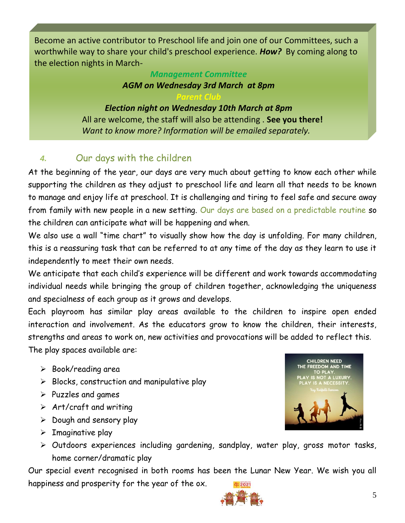Become an active contributor to Preschool life and join one of our Committees, such a worthwhile way to share your child's preschool experience. *How?* By coming along to the election nights in March-

# *Management Committee AGM on Wednesday 3rd March at 8pm*

*Parent Club Election night on Wednesday 10th March at 8pm* All are welcome, the staff will also be attending . **See you there!** *Want to know more? Information will be emailed separately.*

# *4.* Our days with the children

At the beginning of the year, our days are very much about getting to know each other while supporting the children as they adjust to preschool life and learn all that needs to be known to manage and enjoy life at preschool. It is challenging and tiring to feel safe and secure away from family with new people in a new setting. Our days are based on a predictable routine so the children can anticipate what will be happening and when.

We also use a wall "time chart" to visually show how the day is unfolding. For many children, this is a reassuring task that can be referred to at any time of the day as they learn to use it independently to meet their own needs.

We anticipate that each child's experience will be different and work towards accommodating individual needs while bringing the group of children together, acknowledging the uniqueness and specialness of each group as it grows and develops.

Each playroom has similar play areas available to the children to inspire open ended interaction and involvement. As the educators grow to know the children, their interests, strengths and areas to work on, new activities and provocations will be added to reflect this. The play spaces available are:

- ➢ Book/reading area
- $\triangleright$  Blocks, construction and manipulative play
- $\triangleright$  Puzzles and games
- $\triangleright$  Art/craft and writing
- ➢ Dough and sensory play
- $\triangleright$  Imaginative play
- **CHILDREN NEED** THE FREEDOM AND TIME<br>TO PLAY.
- ➢ Outdoors experiences including gardening, sandplay, water play, gross motor tasks, home corner/dramatic play

Our special event recognised in both rooms has been the Lunar New Year. We wish you all happiness and prosperity for the year of the ox.